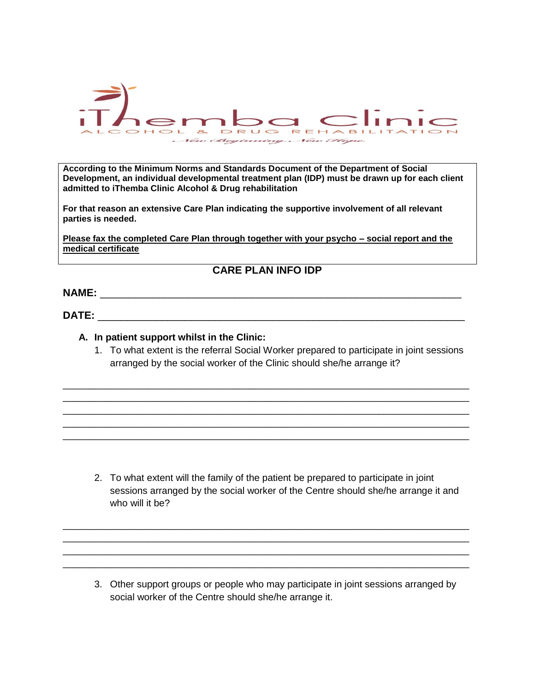

**According to the Minimum Norms and Standards Document of the Department of Social Development, an individual developmental treatment plan (IDP) must be drawn up for each client admitted to iThemba Clinic Alcohol & Drug rehabilitation**

**For that reason an extensive Care Plan indicating the supportive involvement of all relevant parties is needed.**

**Please fax the completed Care Plan through together with your psycho – social report and the medical certificate**

**CARE PLAN INFO IDP**

**NAME:** \_\_\_\_\_\_\_\_\_\_\_\_\_\_\_\_\_\_\_\_\_\_\_\_\_\_\_\_\_\_\_\_\_\_\_\_\_\_\_\_\_\_\_\_\_\_\_\_\_\_\_\_\_\_\_\_\_\_\_\_\_\_

**DATE:** \_\_\_\_\_\_\_\_\_\_\_\_\_\_\_\_\_\_\_\_\_\_\_\_\_\_\_\_\_\_\_\_\_\_\_\_\_\_\_\_\_\_\_\_\_\_\_\_\_\_\_\_\_\_\_\_\_\_\_\_\_\_\_

## **A. In patient support whilst in the Clinic:**

1. To what extent is the referral Social Worker prepared to participate in joint sessions arranged by the social worker of the Clinic should she/he arrange it?

\_\_\_\_\_\_\_\_\_\_\_\_\_\_\_\_\_\_\_\_\_\_\_\_\_\_\_\_\_\_\_\_\_\_\_\_\_\_\_\_\_\_\_\_\_\_\_\_\_\_\_\_\_\_\_\_\_\_\_\_\_\_\_\_\_\_\_\_\_\_\_\_\_\_\_\_ \_\_\_\_\_\_\_\_\_\_\_\_\_\_\_\_\_\_\_\_\_\_\_\_\_\_\_\_\_\_\_\_\_\_\_\_\_\_\_\_\_\_\_\_\_\_\_\_\_\_\_\_\_\_\_\_\_\_\_\_\_\_\_\_\_\_\_\_\_\_\_\_\_\_\_\_ \_\_\_\_\_\_\_\_\_\_\_\_\_\_\_\_\_\_\_\_\_\_\_\_\_\_\_\_\_\_\_\_\_\_\_\_\_\_\_\_\_\_\_\_\_\_\_\_\_\_\_\_\_\_\_\_\_\_\_\_\_\_\_\_\_\_\_\_\_\_\_\_\_\_\_\_ \_\_\_\_\_\_\_\_\_\_\_\_\_\_\_\_\_\_\_\_\_\_\_\_\_\_\_\_\_\_\_\_\_\_\_\_\_\_\_\_\_\_\_\_\_\_\_\_\_\_\_\_\_\_\_\_\_\_\_\_\_\_\_\_\_\_\_\_\_\_\_\_\_\_\_\_ \_\_\_\_\_\_\_\_\_\_\_\_\_\_\_\_\_\_\_\_\_\_\_\_\_\_\_\_\_\_\_\_\_\_\_\_\_\_\_\_\_\_\_\_\_\_\_\_\_\_\_\_\_\_\_\_\_\_\_\_\_\_\_\_\_\_\_\_\_\_\_\_\_\_\_\_

2. To what extent will the family of the patient be prepared to participate in joint sessions arranged by the social worker of the Centre should she/he arrange it and who will it he?

\_\_\_\_\_\_\_\_\_\_\_\_\_\_\_\_\_\_\_\_\_\_\_\_\_\_\_\_\_\_\_\_\_\_\_\_\_\_\_\_\_\_\_\_\_\_\_\_\_\_\_\_\_\_\_\_\_\_\_\_\_\_\_\_\_\_\_\_\_\_\_\_\_\_\_\_ \_\_\_\_\_\_\_\_\_\_\_\_\_\_\_\_\_\_\_\_\_\_\_\_\_\_\_\_\_\_\_\_\_\_\_\_\_\_\_\_\_\_\_\_\_\_\_\_\_\_\_\_\_\_\_\_\_\_\_\_\_\_\_\_\_\_\_\_\_\_\_\_\_\_\_\_ \_\_\_\_\_\_\_\_\_\_\_\_\_\_\_\_\_\_\_\_\_\_\_\_\_\_\_\_\_\_\_\_\_\_\_\_\_\_\_\_\_\_\_\_\_\_\_\_\_\_\_\_\_\_\_\_\_\_\_\_\_\_\_\_\_\_\_\_\_\_\_\_\_\_\_\_ \_\_\_\_\_\_\_\_\_\_\_\_\_\_\_\_\_\_\_\_\_\_\_\_\_\_\_\_\_\_\_\_\_\_\_\_\_\_\_\_\_\_\_\_\_\_\_\_\_\_\_\_\_\_\_\_\_\_\_\_\_\_\_\_\_\_\_\_\_\_\_\_\_\_\_\_

3. Other support groups or people who may participate in joint sessions arranged by social worker of the Centre should she/he arrange it.